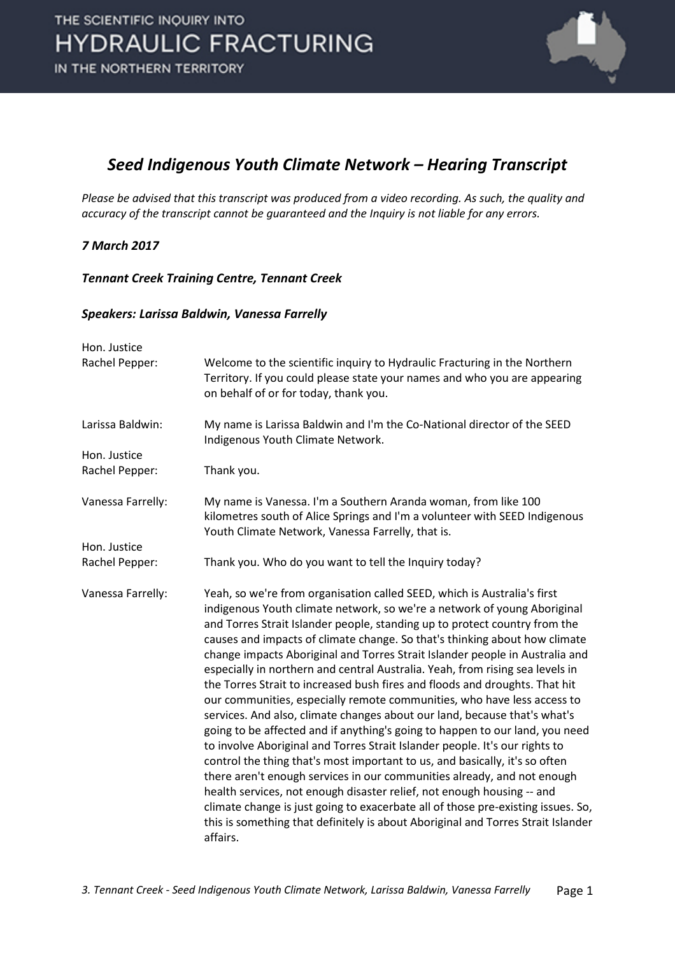

#### *Seed Indigenous Youth Climate Network – Hearing Transcript*

*Please be advised that this transcript was produced from a video recording. As such, the quality and accuracy of the transcript cannot be guaranteed and the Inquiry is not liable for any errors.*

#### *7 March 2017*

*Tennant Creek Training Centre, Tennant Creek* 

#### *Speakers: Larissa Baldwin, Vanessa Farrelly*

| Hon. Justice      |                                                                                                                                                                                                                                                                                                                                                                                                                                                                                                                                                                                                                                                                                                                                                                                                                                                                                                                                                                                                                                                                                                                                                                                                                                                                                                                 |
|-------------------|-----------------------------------------------------------------------------------------------------------------------------------------------------------------------------------------------------------------------------------------------------------------------------------------------------------------------------------------------------------------------------------------------------------------------------------------------------------------------------------------------------------------------------------------------------------------------------------------------------------------------------------------------------------------------------------------------------------------------------------------------------------------------------------------------------------------------------------------------------------------------------------------------------------------------------------------------------------------------------------------------------------------------------------------------------------------------------------------------------------------------------------------------------------------------------------------------------------------------------------------------------------------------------------------------------------------|
| Rachel Pepper:    | Welcome to the scientific inquiry to Hydraulic Fracturing in the Northern<br>Territory. If you could please state your names and who you are appearing<br>on behalf of or for today, thank you.                                                                                                                                                                                                                                                                                                                                                                                                                                                                                                                                                                                                                                                                                                                                                                                                                                                                                                                                                                                                                                                                                                                 |
| Larissa Baldwin:  | My name is Larissa Baldwin and I'm the Co-National director of the SEED<br>Indigenous Youth Climate Network.                                                                                                                                                                                                                                                                                                                                                                                                                                                                                                                                                                                                                                                                                                                                                                                                                                                                                                                                                                                                                                                                                                                                                                                                    |
| Hon. Justice      |                                                                                                                                                                                                                                                                                                                                                                                                                                                                                                                                                                                                                                                                                                                                                                                                                                                                                                                                                                                                                                                                                                                                                                                                                                                                                                                 |
| Rachel Pepper:    | Thank you.                                                                                                                                                                                                                                                                                                                                                                                                                                                                                                                                                                                                                                                                                                                                                                                                                                                                                                                                                                                                                                                                                                                                                                                                                                                                                                      |
| Vanessa Farrelly: | My name is Vanessa. I'm a Southern Aranda woman, from like 100<br>kilometres south of Alice Springs and I'm a volunteer with SEED Indigenous<br>Youth Climate Network, Vanessa Farrelly, that is.                                                                                                                                                                                                                                                                                                                                                                                                                                                                                                                                                                                                                                                                                                                                                                                                                                                                                                                                                                                                                                                                                                               |
| Hon. Justice      |                                                                                                                                                                                                                                                                                                                                                                                                                                                                                                                                                                                                                                                                                                                                                                                                                                                                                                                                                                                                                                                                                                                                                                                                                                                                                                                 |
| Rachel Pepper:    | Thank you. Who do you want to tell the Inquiry today?                                                                                                                                                                                                                                                                                                                                                                                                                                                                                                                                                                                                                                                                                                                                                                                                                                                                                                                                                                                                                                                                                                                                                                                                                                                           |
| Vanessa Farrelly: | Yeah, so we're from organisation called SEED, which is Australia's first<br>indigenous Youth climate network, so we're a network of young Aboriginal<br>and Torres Strait Islander people, standing up to protect country from the<br>causes and impacts of climate change. So that's thinking about how climate<br>change impacts Aboriginal and Torres Strait Islander people in Australia and<br>especially in northern and central Australia. Yeah, from rising sea levels in<br>the Torres Strait to increased bush fires and floods and droughts. That hit<br>our communities, especially remote communities, who have less access to<br>services. And also, climate changes about our land, because that's what's<br>going to be affected and if anything's going to happen to our land, you need<br>to involve Aboriginal and Torres Strait Islander people. It's our rights to<br>control the thing that's most important to us, and basically, it's so often<br>there aren't enough services in our communities already, and not enough<br>health services, not enough disaster relief, not enough housing -- and<br>climate change is just going to exacerbate all of those pre-existing issues. So,<br>this is something that definitely is about Aboriginal and Torres Strait Islander<br>affairs. |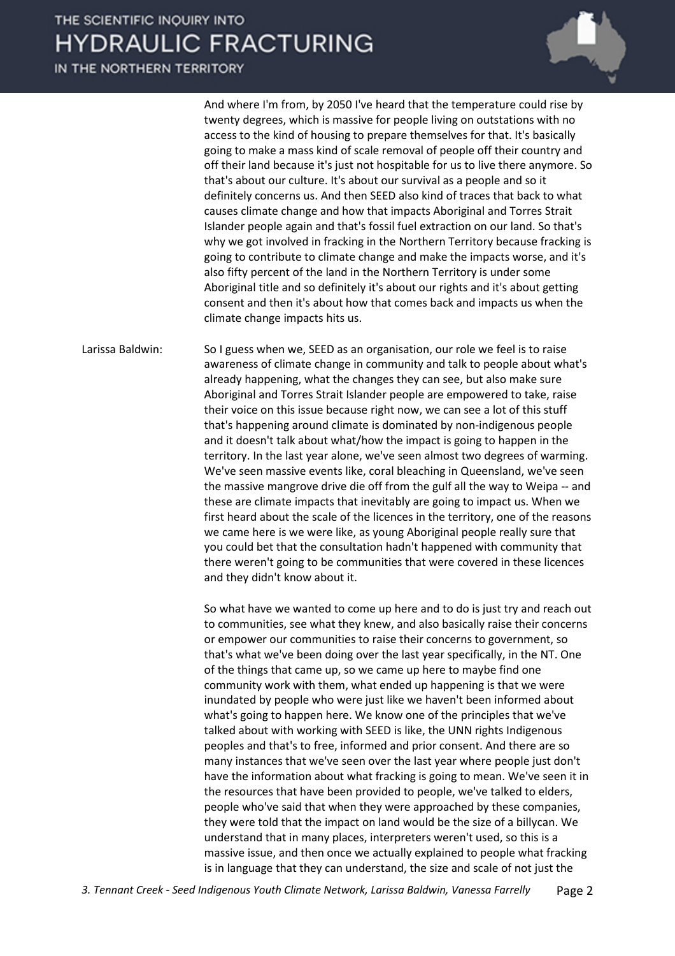IN THE NORTHERN TERRITORY



And where I'm from, by 2050 I've heard that the temperature could rise by twenty degrees, which is massive for people living on outstations with no access to the kind of housing to prepare themselves for that. It's basically going to make a mass kind of scale removal of people off their country and off their land because it's just not hospitable for us to live there anymore. So that's about our culture. It's about our survival as a people and so it definitely concerns us. And then SEED also kind of traces that back to what causes climate change and how that impacts Aboriginal and Torres Strait Islander people again and that's fossil fuel extraction on our land. So that's why we got involved in fracking in the Northern Territory because fracking is going to contribute to climate change and make the impacts worse, and it's also fifty percent of the land in the Northern Territory is under some Aboriginal title and so definitely it's about our rights and it's about getting consent and then it's about how that comes back and impacts us when the climate change impacts hits us.

Larissa Baldwin: So I guess when we, SEED as an organisation, our role we feel is to raise awareness of climate change in community and talk to people about what's already happening, what the changes they can see, but also make sure Aboriginal and Torres Strait Islander people are empowered to take, raise their voice on this issue because right now, we can see a lot of this stuff that's happening around climate is dominated by non-indigenous people and it doesn't talk about what/how the impact is going to happen in the territory. In the last year alone, we've seen almost two degrees of warming. We've seen massive events like, coral bleaching in Queensland, we've seen the massive mangrove drive die off from the gulf all the way to Weipa -- and these are climate impacts that inevitably are going to impact us. When we first heard about the scale of the licences in the territory, one of the reasons we came here is we were like, as young Aboriginal people really sure that you could bet that the consultation hadn't happened with community that there weren't going to be communities that were covered in these licences and they didn't know about it.

> So what have we wanted to come up here and to do is just try and reach out to communities, see what they knew, and also basically raise their concerns or empower our communities to raise their concerns to government, so that's what we've been doing over the last year specifically, in the NT. One of the things that came up, so we came up here to maybe find one community work with them, what ended up happening is that we were inundated by people who were just like we haven't been informed about what's going to happen here. We know one of the principles that we've talked about with working with SEED is like, the UNN rights Indigenous peoples and that's to free, informed and prior consent. And there are so many instances that we've seen over the last year where people just don't have the information about what fracking is going to mean. We've seen it in the resources that have been provided to people, we've talked to elders, people who've said that when they were approached by these companies, they were told that the impact on land would be the size of a billycan. We understand that in many places, interpreters weren't used, so this is a massive issue, and then once we actually explained to people what fracking is in language that they can understand, the size and scale of not just the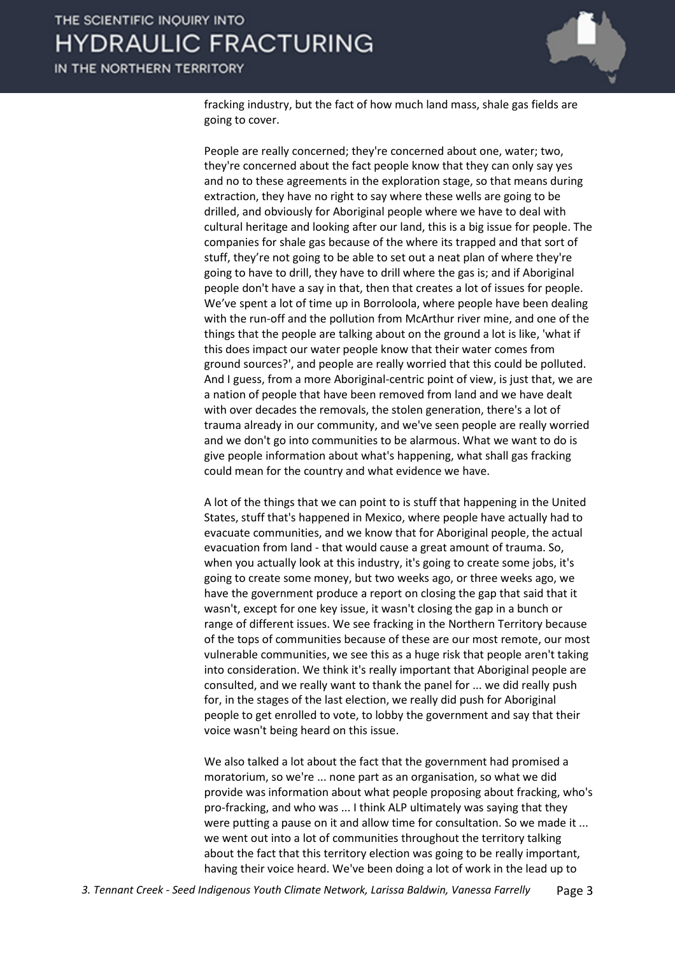IN THE NORTHERN TERRITORY



fracking industry, but the fact of how much land mass, shale gas fields are going to cover.

People are really concerned; they're concerned about one, water; two, they're concerned about the fact people know that they can only say yes and no to these agreements in the exploration stage, so that means during extraction, they have no right to say where these wells are going to be drilled, and obviously for Aboriginal people where we have to deal with cultural heritage and looking after our land, this is a big issue for people. The companies for shale gas because of the where its trapped and that sort of stuff, they're not going to be able to set out a neat plan of where they're going to have to drill, they have to drill where the gas is; and if Aboriginal people don't have a say in that, then that creates a lot of issues for people. We've spent a lot of time up in Borroloola, where people have been dealing with the run-off and the pollution from McArthur river mine, and one of the things that the people are talking about on the ground a lot is like, 'what if this does impact our water people know that their water comes from ground sources?', and people are really worried that this could be polluted. And I guess, from a more Aboriginal-centric point of view, is just that, we are a nation of people that have been removed from land and we have dealt with over decades the removals, the stolen generation, there's a lot of trauma already in our community, and we've seen people are really worried and we don't go into communities to be alarmous. What we want to do is give people information about what's happening, what shall gas fracking could mean for the country and what evidence we have.

A lot of the things that we can point to is stuff that happening in the United States, stuff that's happened in Mexico, where people have actually had to evacuate communities, and we know that for Aboriginal people, the actual evacuation from land - that would cause a great amount of trauma. So, when you actually look at this industry, it's going to create some jobs, it's going to create some money, but two weeks ago, or three weeks ago, we have the government produce a report on closing the gap that said that it wasn't, except for one key issue, it wasn't closing the gap in a bunch or range of different issues. We see fracking in the Northern Territory because of the tops of communities because of these are our most remote, our most vulnerable communities, we see this as a huge risk that people aren't taking into consideration. We think it's really important that Aboriginal people are consulted, and we really want to thank the panel for ... we did really push for, in the stages of the last election, we really did push for Aboriginal people to get enrolled to vote, to lobby the government and say that their voice wasn't being heard on this issue.

We also talked a lot about the fact that the government had promised a moratorium, so we're ... none part as an organisation, so what we did provide was information about what people proposing about fracking, who's pro-fracking, and who was ... I think ALP ultimately was saying that they were putting a pause on it and allow time for consultation. So we made it ... we went out into a lot of communities throughout the territory talking about the fact that this territory election was going to be really important, having their voice heard. We've been doing a lot of work in the lead up to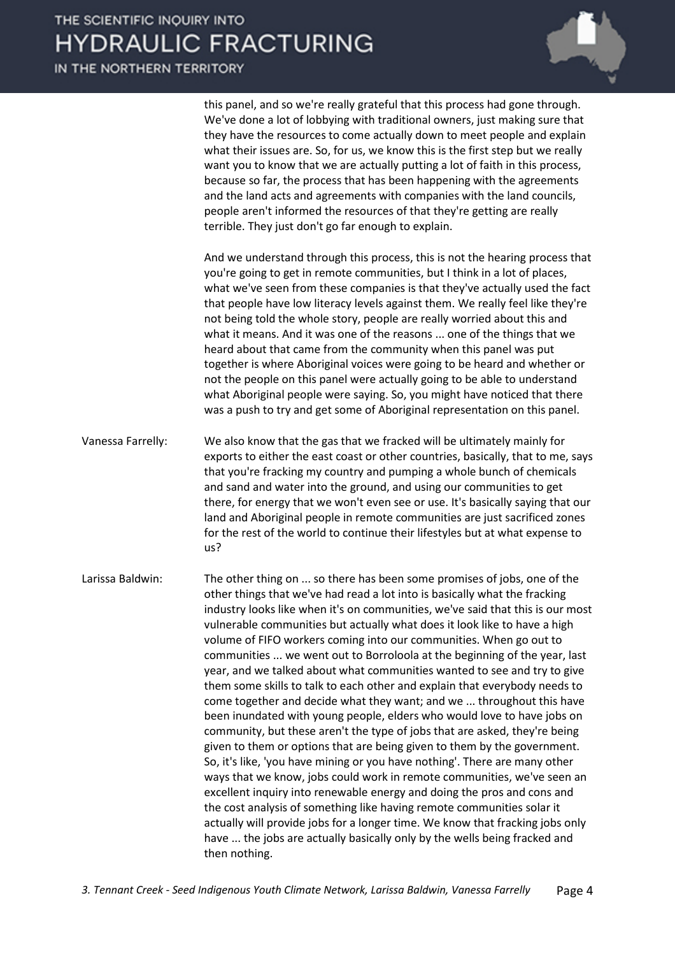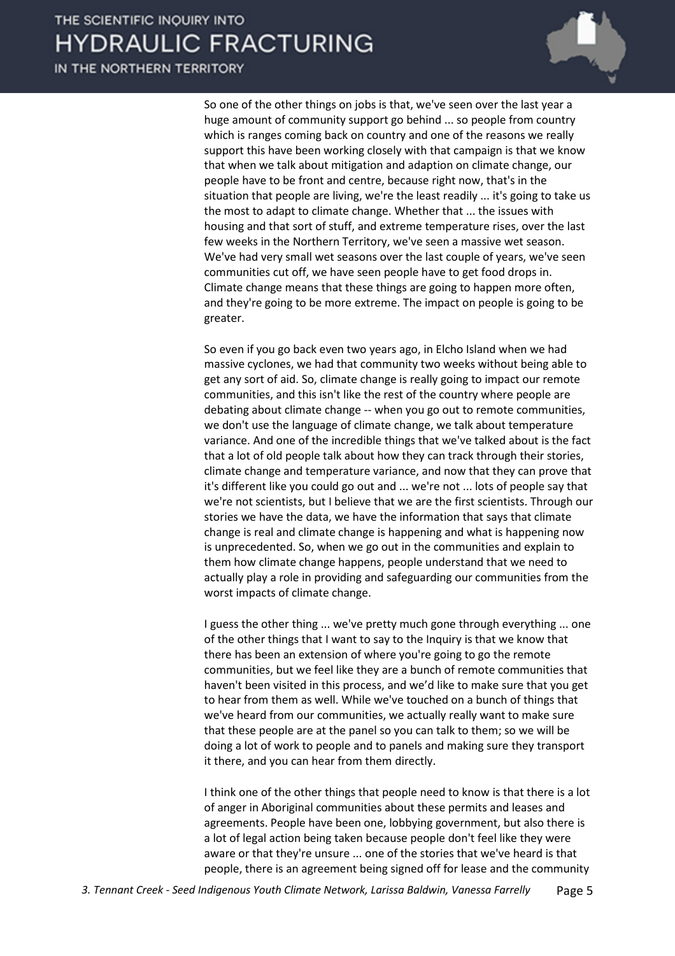IN THE NORTHERN TERRITORY



So one of the other things on jobs is that, we've seen over the last year a huge amount of community support go behind ... so people from country which is ranges coming back on country and one of the reasons we really support this have been working closely with that campaign is that we know that when we talk about mitigation and adaption on climate change, our people have to be front and centre, because right now, that's in the situation that people are living, we're the least readily ... it's going to take us the most to adapt to climate change. Whether that ... the issues with housing and that sort of stuff, and extreme temperature rises, over the last few weeks in the Northern Territory, we've seen a massive wet season. We've had very small wet seasons over the last couple of years, we've seen communities cut off, we have seen people have to get food drops in. Climate change means that these things are going to happen more often, and they're going to be more extreme. The impact on people is going to be greater.

So even if you go back even two years ago, in Elcho Island when we had massive cyclones, we had that community two weeks without being able to get any sort of aid. So, climate change is really going to impact our remote communities, and this isn't like the rest of the country where people are debating about climate change -- when you go out to remote communities, we don't use the language of climate change, we talk about temperature variance. And one of the incredible things that we've talked about is the fact that a lot of old people talk about how they can track through their stories, climate change and temperature variance, and now that they can prove that it's different like you could go out and ... we're not ... lots of people say that we're not scientists, but I believe that we are the first scientists. Through our stories we have the data, we have the information that says that climate change is real and climate change is happening and what is happening now is unprecedented. So, when we go out in the communities and explain to them how climate change happens, people understand that we need to actually play a role in providing and safeguarding our communities from the worst impacts of climate change.

I guess the other thing ... we've pretty much gone through everything ... one of the other things that I want to say to the Inquiry is that we know that there has been an extension of where you're going to go the remote communities, but we feel like they are a bunch of remote communities that haven't been visited in this process, and we'd like to make sure that you get to hear from them as well. While we've touched on a bunch of things that we've heard from our communities, we actually really want to make sure that these people are at the panel so you can talk to them; so we will be doing a lot of work to people and to panels and making sure they transport it there, and you can hear from them directly.

I think one of the other things that people need to know is that there is a lot of anger in Aboriginal communities about these permits and leases and agreements. People have been one, lobbying government, but also there is a lot of legal action being taken because people don't feel like they were aware or that they're unsure ... one of the stories that we've heard is that people, there is an agreement being signed off for lease and the community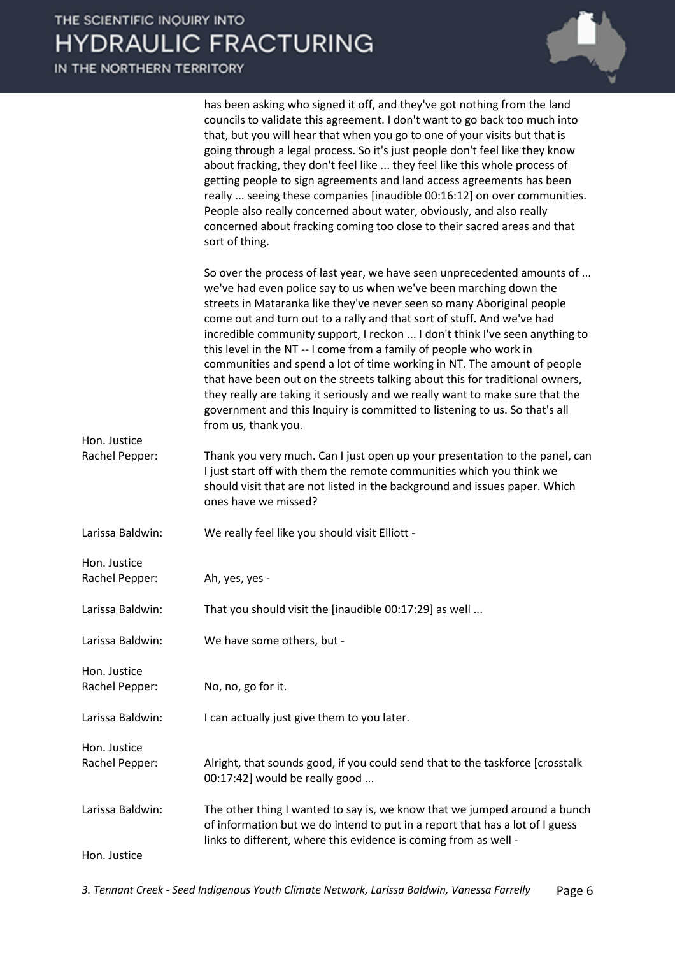|                                  | has been asking who signed it off, and they've got nothing from the land<br>councils to validate this agreement. I don't want to go back too much into<br>that, but you will hear that when you go to one of your visits but that is<br>going through a legal process. So it's just people don't feel like they know<br>about fracking, they don't feel like  they feel like this whole process of<br>getting people to sign agreements and land access agreements has been<br>really  seeing these companies [inaudible 00:16:12] on over communities.<br>People also really concerned about water, obviously, and also really<br>concerned about fracking coming too close to their sacred areas and that<br>sort of thing.                                                                         |
|----------------------------------|-------------------------------------------------------------------------------------------------------------------------------------------------------------------------------------------------------------------------------------------------------------------------------------------------------------------------------------------------------------------------------------------------------------------------------------------------------------------------------------------------------------------------------------------------------------------------------------------------------------------------------------------------------------------------------------------------------------------------------------------------------------------------------------------------------|
| Hon. Justice                     | So over the process of last year, we have seen unprecedented amounts of<br>we've had even police say to us when we've been marching down the<br>streets in Mataranka like they've never seen so many Aboriginal people<br>come out and turn out to a rally and that sort of stuff. And we've had<br>incredible community support, I reckon  I don't think I've seen anything to<br>this level in the NT -- I come from a family of people who work in<br>communities and spend a lot of time working in NT. The amount of people<br>that have been out on the streets talking about this for traditional owners,<br>they really are taking it seriously and we really want to make sure that the<br>government and this Inquiry is committed to listening to us. So that's all<br>from us, thank you. |
| Rachel Pepper:                   | Thank you very much. Can I just open up your presentation to the panel, can<br>I just start off with them the remote communities which you think we<br>should visit that are not listed in the background and issues paper. Which<br>ones have we missed?                                                                                                                                                                                                                                                                                                                                                                                                                                                                                                                                             |
| Larissa Baldwin:                 | We really feel like you should visit Elliott -                                                                                                                                                                                                                                                                                                                                                                                                                                                                                                                                                                                                                                                                                                                                                        |
| Hon. Justice<br>Rachel Pepper:   | Ah, yes, yes -                                                                                                                                                                                                                                                                                                                                                                                                                                                                                                                                                                                                                                                                                                                                                                                        |
| Larissa Baldwin:                 | That you should visit the [inaudible 00:17:29] as well                                                                                                                                                                                                                                                                                                                                                                                                                                                                                                                                                                                                                                                                                                                                                |
| Larissa Baldwin:                 | We have some others, but -                                                                                                                                                                                                                                                                                                                                                                                                                                                                                                                                                                                                                                                                                                                                                                            |
| Hon. Justice<br>Rachel Pepper:   | No, no, go for it.                                                                                                                                                                                                                                                                                                                                                                                                                                                                                                                                                                                                                                                                                                                                                                                    |
| Larissa Baldwin:                 | I can actually just give them to you later.                                                                                                                                                                                                                                                                                                                                                                                                                                                                                                                                                                                                                                                                                                                                                           |
| Hon. Justice<br>Rachel Pepper:   | Alright, that sounds good, if you could send that to the taskforce [crosstalk<br>00:17:42] would be really good                                                                                                                                                                                                                                                                                                                                                                                                                                                                                                                                                                                                                                                                                       |
| Larissa Baldwin:<br>Hon. Justice | The other thing I wanted to say is, we know that we jumped around a bunch<br>of information but we do intend to put in a report that has a lot of I guess<br>links to different, where this evidence is coming from as well -                                                                                                                                                                                                                                                                                                                                                                                                                                                                                                                                                                         |
|                                  |                                                                                                                                                                                                                                                                                                                                                                                                                                                                                                                                                                                                                                                                                                                                                                                                       |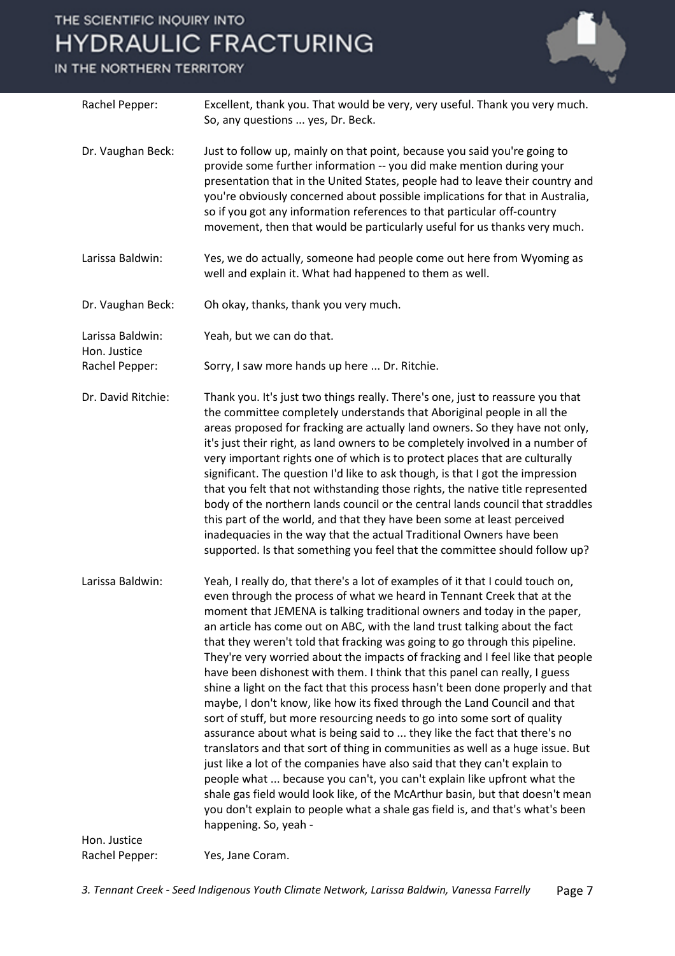#### IN THE NORTHERN TERRITORY

| Rachel Pepper:                   | Excellent, thank you. That would be very, very useful. Thank you very much.<br>So, any questions  yes, Dr. Beck.                                                                                                                                                                                                                                                                                                                                                                                                                                                                                                                                                                                                                                                                                                                                                                                                                                                                                                                                                                                                                                                                                                                                                                                                                |
|----------------------------------|---------------------------------------------------------------------------------------------------------------------------------------------------------------------------------------------------------------------------------------------------------------------------------------------------------------------------------------------------------------------------------------------------------------------------------------------------------------------------------------------------------------------------------------------------------------------------------------------------------------------------------------------------------------------------------------------------------------------------------------------------------------------------------------------------------------------------------------------------------------------------------------------------------------------------------------------------------------------------------------------------------------------------------------------------------------------------------------------------------------------------------------------------------------------------------------------------------------------------------------------------------------------------------------------------------------------------------|
| Dr. Vaughan Beck:                | Just to follow up, mainly on that point, because you said you're going to<br>provide some further information -- you did make mention during your<br>presentation that in the United States, people had to leave their country and<br>you're obviously concerned about possible implications for that in Australia,<br>so if you got any information references to that particular off-country<br>movement, then that would be particularly useful for us thanks very much.                                                                                                                                                                                                                                                                                                                                                                                                                                                                                                                                                                                                                                                                                                                                                                                                                                                     |
| Larissa Baldwin:                 | Yes, we do actually, someone had people come out here from Wyoming as<br>well and explain it. What had happened to them as well.                                                                                                                                                                                                                                                                                                                                                                                                                                                                                                                                                                                                                                                                                                                                                                                                                                                                                                                                                                                                                                                                                                                                                                                                |
| Dr. Vaughan Beck:                | Oh okay, thanks, thank you very much.                                                                                                                                                                                                                                                                                                                                                                                                                                                                                                                                                                                                                                                                                                                                                                                                                                                                                                                                                                                                                                                                                                                                                                                                                                                                                           |
| Larissa Baldwin:<br>Hon. Justice | Yeah, but we can do that.                                                                                                                                                                                                                                                                                                                                                                                                                                                                                                                                                                                                                                                                                                                                                                                                                                                                                                                                                                                                                                                                                                                                                                                                                                                                                                       |
| Rachel Pepper:                   | Sorry, I saw more hands up here  Dr. Ritchie.                                                                                                                                                                                                                                                                                                                                                                                                                                                                                                                                                                                                                                                                                                                                                                                                                                                                                                                                                                                                                                                                                                                                                                                                                                                                                   |
| Dr. David Ritchie:               | Thank you. It's just two things really. There's one, just to reassure you that<br>the committee completely understands that Aboriginal people in all the<br>areas proposed for fracking are actually land owners. So they have not only,<br>it's just their right, as land owners to be completely involved in a number of<br>very important rights one of which is to protect places that are culturally<br>significant. The question I'd like to ask though, is that I got the impression<br>that you felt that not withstanding those rights, the native title represented<br>body of the northern lands council or the central lands council that straddles<br>this part of the world, and that they have been some at least perceived<br>inadequacies in the way that the actual Traditional Owners have been<br>supported. Is that something you feel that the committee should follow up?                                                                                                                                                                                                                                                                                                                                                                                                                                |
| Larissa Baldwin:<br>Hon. Justice | Yeah, I really do, that there's a lot of examples of it that I could touch on,<br>even through the process of what we heard in Tennant Creek that at the<br>moment that JEMENA is talking traditional owners and today in the paper,<br>an article has come out on ABC, with the land trust talking about the fact<br>that they weren't told that fracking was going to go through this pipeline.<br>They're very worried about the impacts of fracking and I feel like that people<br>have been dishonest with them. I think that this panel can really, I guess<br>shine a light on the fact that this process hasn't been done properly and that<br>maybe, I don't know, like how its fixed through the Land Council and that<br>sort of stuff, but more resourcing needs to go into some sort of quality<br>assurance about what is being said to  they like the fact that there's no<br>translators and that sort of thing in communities as well as a huge issue. But<br>just like a lot of the companies have also said that they can't explain to<br>people what  because you can't, you can't explain like upfront what the<br>shale gas field would look like, of the McArthur basin, but that doesn't mean<br>you don't explain to people what a shale gas field is, and that's what's been<br>happening. So, yeah - |
|                                  |                                                                                                                                                                                                                                                                                                                                                                                                                                                                                                                                                                                                                                                                                                                                                                                                                                                                                                                                                                                                                                                                                                                                                                                                                                                                                                                                 |

Rachel Pepper: Yes, Jane Coram.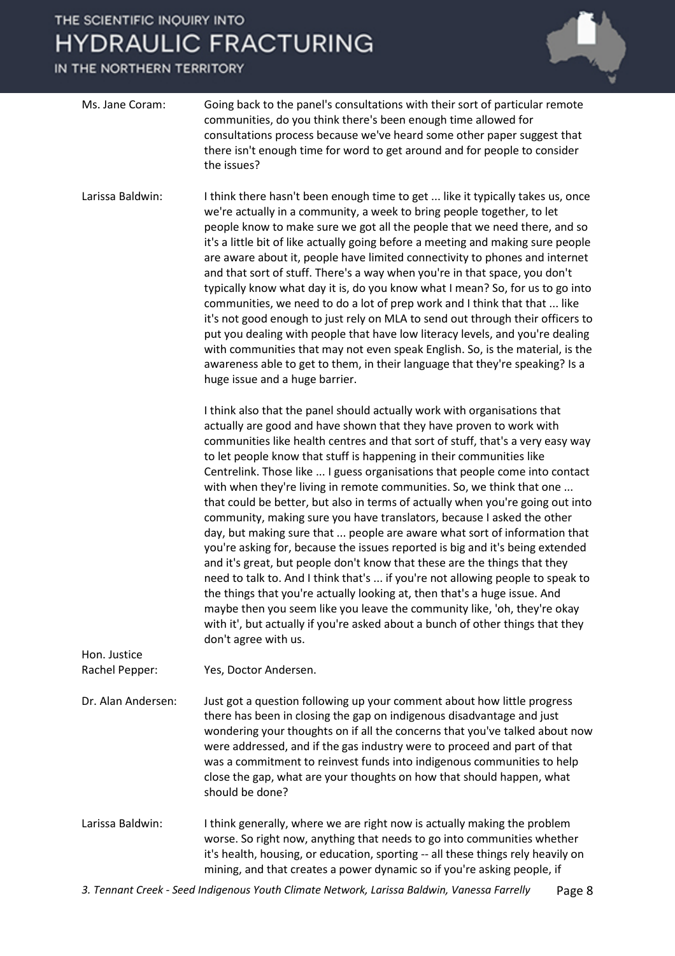| Ms. Jane Coram:                | Going back to the panel's consultations with their sort of particular remote<br>communities, do you think there's been enough time allowed for<br>consultations process because we've heard some other paper suggest that<br>there isn't enough time for word to get around and for people to consider<br>the issues?                                                                                                                                                                                                                                                                                                                                                                                                                                                                                                                                                                                                                                                                                                                                                                                                                                                                                                         |
|--------------------------------|-------------------------------------------------------------------------------------------------------------------------------------------------------------------------------------------------------------------------------------------------------------------------------------------------------------------------------------------------------------------------------------------------------------------------------------------------------------------------------------------------------------------------------------------------------------------------------------------------------------------------------------------------------------------------------------------------------------------------------------------------------------------------------------------------------------------------------------------------------------------------------------------------------------------------------------------------------------------------------------------------------------------------------------------------------------------------------------------------------------------------------------------------------------------------------------------------------------------------------|
| Larissa Baldwin:               | I think there hasn't been enough time to get  like it typically takes us, once<br>we're actually in a community, a week to bring people together, to let<br>people know to make sure we got all the people that we need there, and so<br>it's a little bit of like actually going before a meeting and making sure people<br>are aware about it, people have limited connectivity to phones and internet<br>and that sort of stuff. There's a way when you're in that space, you don't<br>typically know what day it is, do you know what I mean? So, for us to go into<br>communities, we need to do a lot of prep work and I think that that  like<br>it's not good enough to just rely on MLA to send out through their officers to<br>put you dealing with people that have low literacy levels, and you're dealing<br>with communities that may not even speak English. So, is the material, is the<br>awareness able to get to them, in their language that they're speaking? Is a<br>huge issue and a huge barrier.                                                                                                                                                                                                    |
|                                | I think also that the panel should actually work with organisations that<br>actually are good and have shown that they have proven to work with<br>communities like health centres and that sort of stuff, that's a very easy way<br>to let people know that stuff is happening in their communities like<br>Centrelink. Those like  I guess organisations that people come into contact<br>with when they're living in remote communities. So, we think that one<br>that could be better, but also in terms of actually when you're going out into<br>community, making sure you have translators, because I asked the other<br>day, but making sure that  people are aware what sort of information that<br>you're asking for, because the issues reported is big and it's being extended<br>and it's great, but people don't know that these are the things that they<br>need to talk to. And I think that's  if you're not allowing people to speak to<br>the things that you're actually looking at, then that's a huge issue. And<br>maybe then you seem like you leave the community like, 'oh, they're okay<br>with it', but actually if you're asked about a bunch of other things that they<br>don't agree with us. |
| Hon. Justice<br>Rachel Pepper: | Yes, Doctor Andersen.                                                                                                                                                                                                                                                                                                                                                                                                                                                                                                                                                                                                                                                                                                                                                                                                                                                                                                                                                                                                                                                                                                                                                                                                         |
| Dr. Alan Andersen:             | Just got a question following up your comment about how little progress<br>there has been in closing the gap on indigenous disadvantage and just<br>wondering your thoughts on if all the concerns that you've talked about now<br>were addressed, and if the gas industry were to proceed and part of that<br>was a commitment to reinvest funds into indigenous communities to help<br>close the gap, what are your thoughts on how that should happen, what<br>should be done?                                                                                                                                                                                                                                                                                                                                                                                                                                                                                                                                                                                                                                                                                                                                             |
| Larissa Baldwin:               | I think generally, where we are right now is actually making the problem<br>worse. So right now, anything that needs to go into communities whether<br>it's health, housing, or education, sporting -- all these things rely heavily on<br>mining, and that creates a power dynamic so if you're asking people, if                                                                                                                                                                                                                                                                                                                                                                                                                                                                                                                                                                                                                                                                                                                                                                                                                                                                                                            |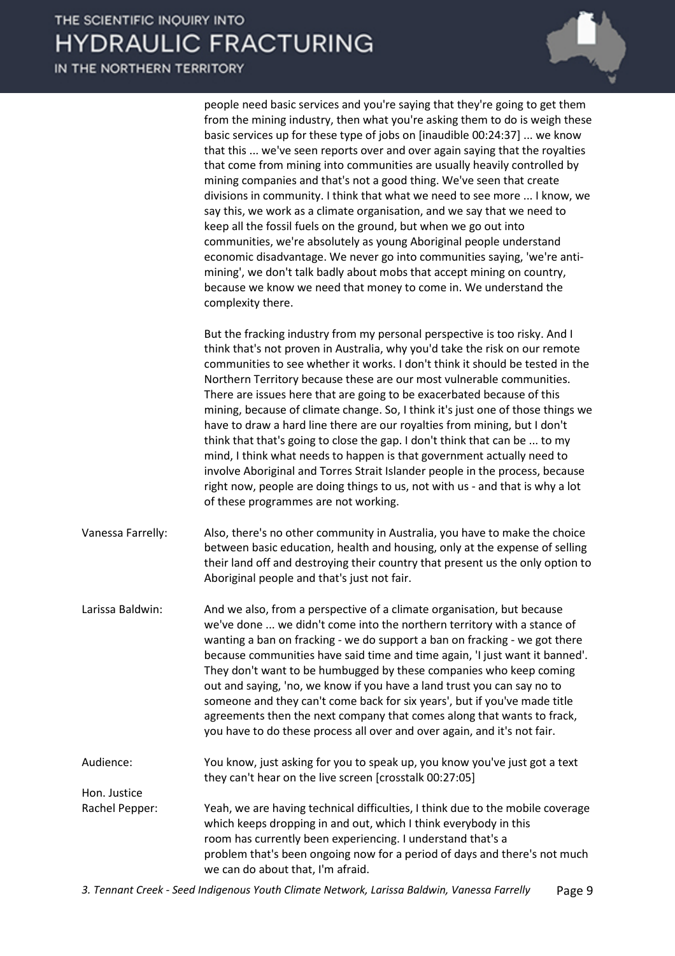IN THE NORTHERN TERRITORY



people need basic services and you're saying that they're going to get them from the mining industry, then what you're asking them to do is weigh these basic services up for these type of jobs on [inaudible 00:24:37] ... we know that this ... we've seen reports over and over again saying that the royalties that come from mining into communities are usually heavily controlled by mining companies and that's not a good thing. We've seen that create divisions in community. I think that what we need to see more ... I know, we say this, we work as a climate organisation, and we say that we need to keep all the fossil fuels on the ground, but when we go out into communities, we're absolutely as young Aboriginal people understand economic disadvantage. We never go into communities saying, 'we're antimining', we don't talk badly about mobs that accept mining on country, because we know we need that money to come in. We understand the complexity there.

But the fracking industry from my personal perspective is too risky. And I think that's not proven in Australia, why you'd take the risk on our remote communities to see whether it works. I don't think it should be tested in the Northern Territory because these are our most vulnerable communities. There are issues here that are going to be exacerbated because of this mining, because of climate change. So, I think it's just one of those things we have to draw a hard line there are our royalties from mining, but I don't think that that's going to close the gap. I don't think that can be ... to my mind, I think what needs to happen is that government actually need to involve Aboriginal and Torres Strait Islander people in the process, because right now, people are doing things to us, not with us - and that is why a lot of these programmes are not working.

- Vanessa Farrelly: Also, there's no other community in Australia, you have to make the choice between basic education, health and housing, only at the expense of selling their land off and destroying their country that present us the only option to Aboriginal people and that's just not fair.
- Larissa Baldwin: And we also, from a perspective of a climate organisation, but because we've done ... we didn't come into the northern territory with a stance of wanting a ban on fracking - we do support a ban on fracking - we got there because communities have said time and time again, 'I just want it banned'. They don't want to be humbugged by these companies who keep coming out and saying, 'no, we know if you have a land trust you can say no to someone and they can't come back for six years', but if you've made title agreements then the next company that comes along that wants to frack, you have to do these process all over and over again, and it's not fair.

Audience: You know, just asking for you to speak up, you know you've just got a text they can't hear on the live screen [crosstalk 00:27:05] Hon. Justice Rachel Pepper: Yeah, we are having technical difficulties, I think due to the mobile coverage which keeps dropping in and out, which I think everybody in this room has currently been experiencing. I understand that's a problem that's been ongoing now for a period of days and there's not much

we can do about that, I'm afraid.